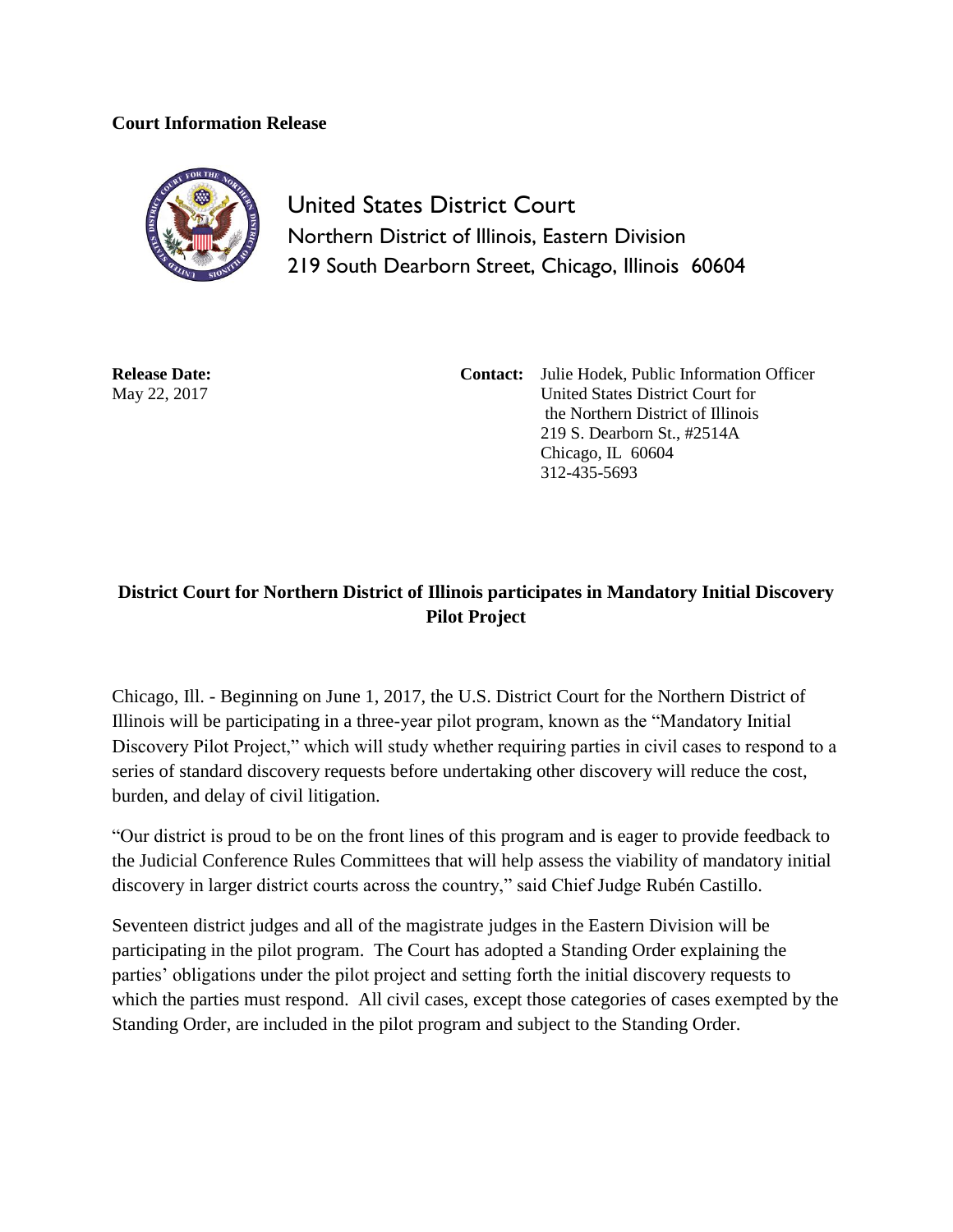## **Court Information Release**



United States District Court Northern District of Illinois, Eastern Division 219 South Dearborn Street, Chicago, Illinois 60604

**Release Date:** May 22, 2017

**Contact:** Julie Hodek, Public Information Officer United States District Court for the Northern District of Illinois 219 S. Dearborn St., #2514A Chicago, IL 60604 312-435-5693

## **District Court for Northern District of Illinois participates in Mandatory Initial Discovery Pilot Project**

Chicago, Ill. - Beginning on June 1, 2017, the U.S. District Court for the Northern District of Illinois will be participating in a three-year pilot program, known as the "Mandatory Initial Discovery Pilot Project," which will study whether requiring parties in civil cases to respond to a series of standard discovery requests before undertaking other discovery will reduce the cost, burden, and delay of civil litigation.

"Our district is proud to be on the front lines of this program and is eager to provide feedback to the Judicial Conference Rules Committees that will help assess the viability of mandatory initial discovery in larger district courts across the country," said Chief Judge Rubén Castillo.

Seventeen district judges and all of the magistrate judges in the Eastern Division will be participating in the pilot program. The Court has adopted a Standing Order explaining the parties' obligations under the pilot project and setting forth the initial discovery requests to which the parties must respond. All civil cases, except those categories of cases exempted by the Standing Order, are included in the pilot program and subject to the Standing Order.